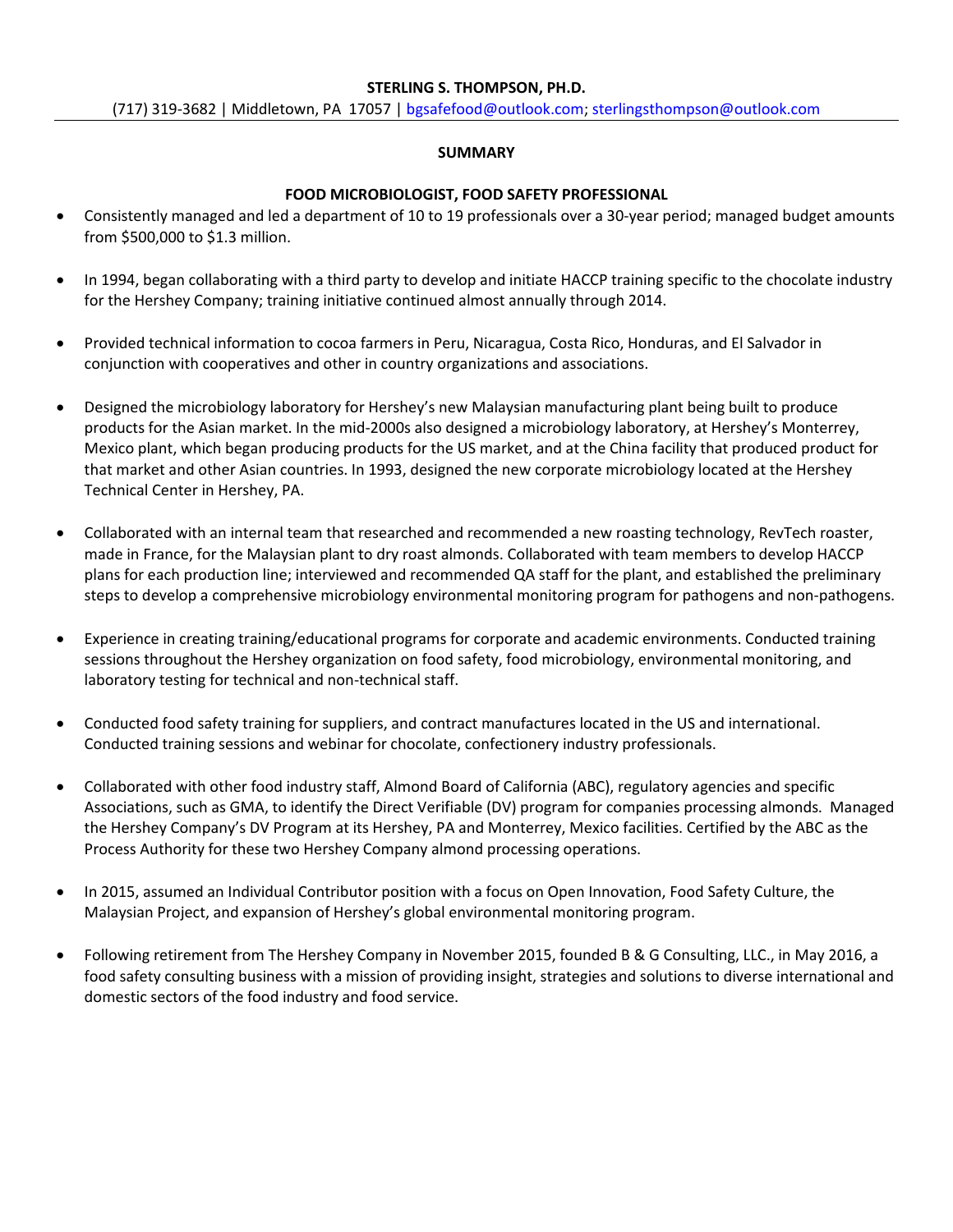#### **STERLING S. THOMPSON, PH.D.**

#### **SUMMARY**

### **FOOD MICROBIOLOGIST, FOOD SAFETY PROFESSIONAL**

- Consistently managed and led a department of 10 to 19 professionals over a 30-year period; managed budget amounts from  $$500,000$  to  $$1.3$  million.
- In 1994, began collaborating with a third party to develop and initiate HACCP training specific to the chocolate industry for the Hershey Company; training initiative continued almost annually through 2014.
- Provided technical information to cocoa farmers in Peru, Nicaragua, Costa Rico, Honduras, and El Salvador in conjunction with cooperatives and other in country organizations and associations.
- Designed the microbiology laboratory for Hershey's new Malaysian manufacturing plant being built to produce products for the Asian market. In the mid-2000s also designed a microbiology laboratory, at Hershey's Monterrey, Mexico plant, which began producing products for the US market, and at the China facility that produced product for that market and other Asian countries. In 1993, designed the new corporate microbiology located at the Hershey Technical Center in Hershey, PA.
- Collaborated with an internal team that researched and recommended a new roasting technology, RevTech roaster, made in France, for the Malaysian plant to dry roast almonds. Collaborated with team members to develop HACCP plans for each production line; interviewed and recommended QA staff for the plant, and established the preliminary steps to develop a comprehensive microbiology environmental monitoring program for pathogens and non-pathogens.
- Experience in creating training/educational programs for corporate and academic environments. Conducted training sessions throughout the Hershey organization on food safety, food microbiology, environmental monitoring, and laboratory testing for technical and non-technical staff.
- Conducted food safety training for suppliers, and contract manufactures located in the US and international. Conducted training sessions and webinar for chocolate, confectionery industry professionals.
- Collaborated with other food industry staff, Almond Board of California (ABC), regulatory agencies and specific Associations, such as GMA, to identify the Direct Verifiable (DV) program for companies processing almonds. Managed the Hershey Company's DV Program at its Hershey, PA and Monterrey, Mexico facilities. Certified by the ABC as the Process Authority for these two Hershey Company almond processing operations.
- In 2015, assumed an Individual Contributor position with a focus on Open Innovation, Food Safety Culture, the Malaysian Project, and expansion of Hershey's global environmental monitoring program.
- Following retirement from The Hershey Company in November 2015, founded B & G Consulting, LLC., in May 2016, a food safety consulting business with a mission of providing insight, strategies and solutions to diverse international and domestic sectors of the food industry and food service.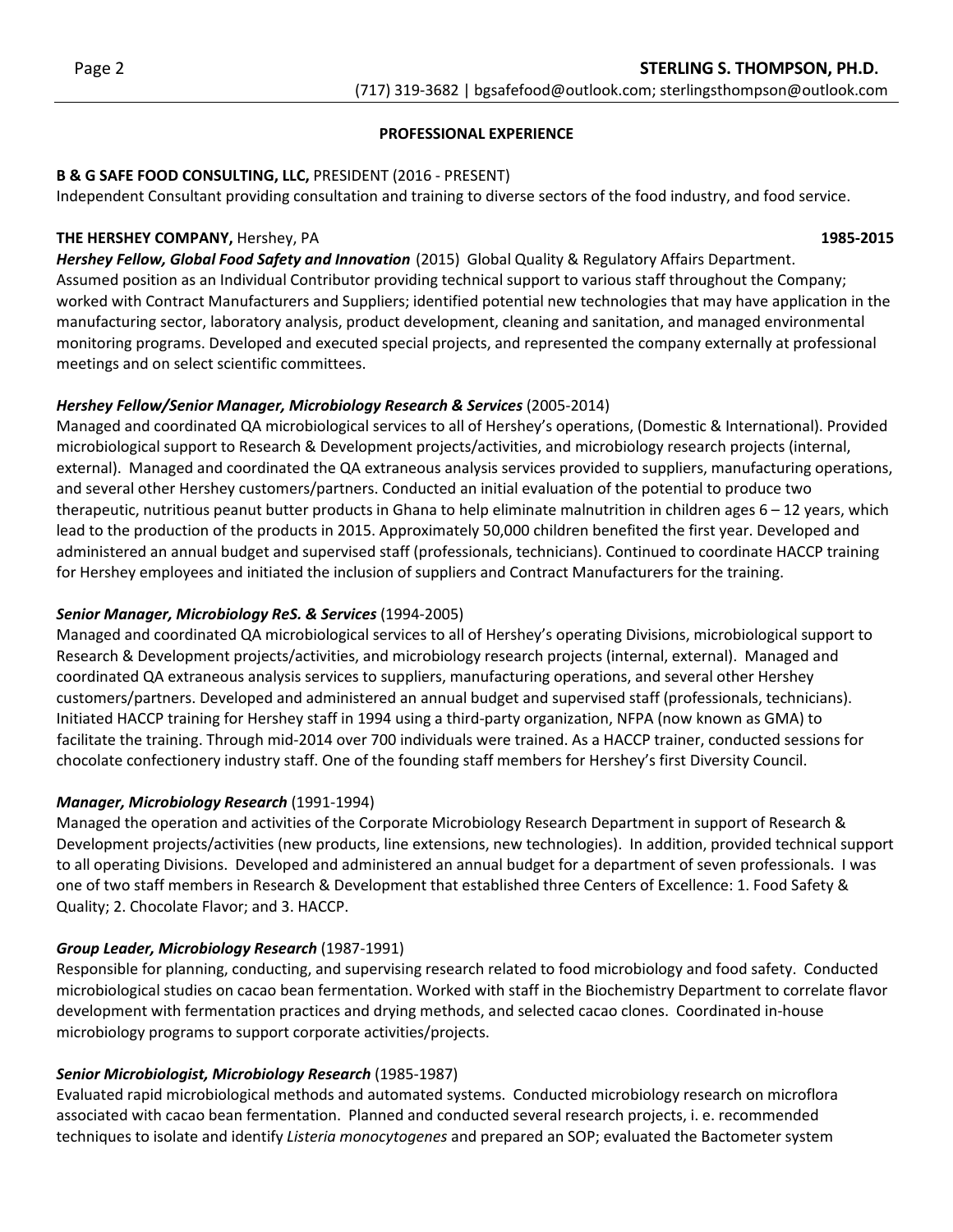### **PROFESSIONAL EXPERIENCE**

# **B & G SAFE FOOD CONSULTING, LLC, PRESIDENT (2016 - PRESENT)**

Independent Consultant providing consultation and training to diverse sectors of the food industry, and food service.

### **THE HERSHEY COMPANY,** Hershey, PA  **1985-2015**

*Hershey Fellow, Global Food Safety and Innovation* (2015) Global Quality & Regulatory Affairs Department. Assumed position as an Individual Contributor providing technical support to various staff throughout the Company; worked with Contract Manufacturers and Suppliers; identified potential new technologies that may have application in the manufacturing sector, laboratory analysis, product development, cleaning and sanitation, and managed environmental monitoring programs. Developed and executed special projects, and represented the company externally at professional meetings and on select scientific committees.

# *Hershey Fellow/Senior Manager, Microbiology Research & Services* (2005-2014)

Managed and coordinated QA microbiological services to all of Hershey's operations, (Domestic & International). Provided microbiological support to Research & Development projects/activities, and microbiology research projects (internal, external). Managed and coordinated the QA extraneous analysis services provided to suppliers, manufacturing operations, and several other Hershey customers/partners. Conducted an initial evaluation of the potential to produce two therapeutic, nutritious peanut butter products in Ghana to help eliminate malnutrition in children ages  $6 - 12$  years, which lead to the production of the products in 2015. Approximately 50,000 children benefited the first year. Developed and administered an annual budget and supervised staff (professionals, technicians). Continued to coordinate HACCP training for Hershey employees and initiated the inclusion of suppliers and Contract Manufacturers for the training.

# **Senior Manager, Microbiology ReS. & Services** (1994-2005)

Managed and coordinated QA microbiological services to all of Hershey's operating Divisions, microbiological support to Research & Development projects/activities, and microbiology research projects (internal, external). Managed and coordinated QA extraneous analysis services to suppliers, manufacturing operations, and several other Hershey customers/partners. Developed and administered an annual budget and supervised staff (professionals, technicians). Initiated HACCP training for Hershey staff in 1994 using a third-party organization, NFPA (now known as GMA) to facilitate the training. Through mid-2014 over 700 individuals were trained. As a HACCP trainer, conducted sessions for chocolate confectionery industry staff. One of the founding staff members for Hershey's first Diversity Council.

# *Manager, Microbiology Research* (1991-1994)

Managed the operation and activities of the Corporate Microbiology Research Department in support of Research & Development projects/activities (new products, line extensions, new technologies). In addition, provided technical support to all operating Divisions. Developed and administered an annual budget for a department of seven professionals. I was one of two staff members in Research & Development that established three Centers of Excellence: 1. Food Safety & Quality; 2. Chocolate Flavor; and 3. HACCP.

# *Group Leader, Microbiology Research* (1987-1991)

Responsible for planning, conducting, and supervising research related to food microbiology and food safety. Conducted microbiological studies on cacao bean fermentation. Worked with staff in the Biochemistry Department to correlate flavor development with fermentation practices and drying methods, and selected cacao clones. Coordinated in-house microbiology programs to support corporate activities/projects.

# *Senior Microbiologist, Microbiology Research* (1985-1987)

Evaluated rapid microbiological methods and automated systems. Conducted microbiology research on microflora associated with cacao bean fermentation. Planned and conducted several research projects, i. e. recommended techniques to isolate and identify *Listeria monocytogenes* and prepared an SOP; evaluated the Bactometer system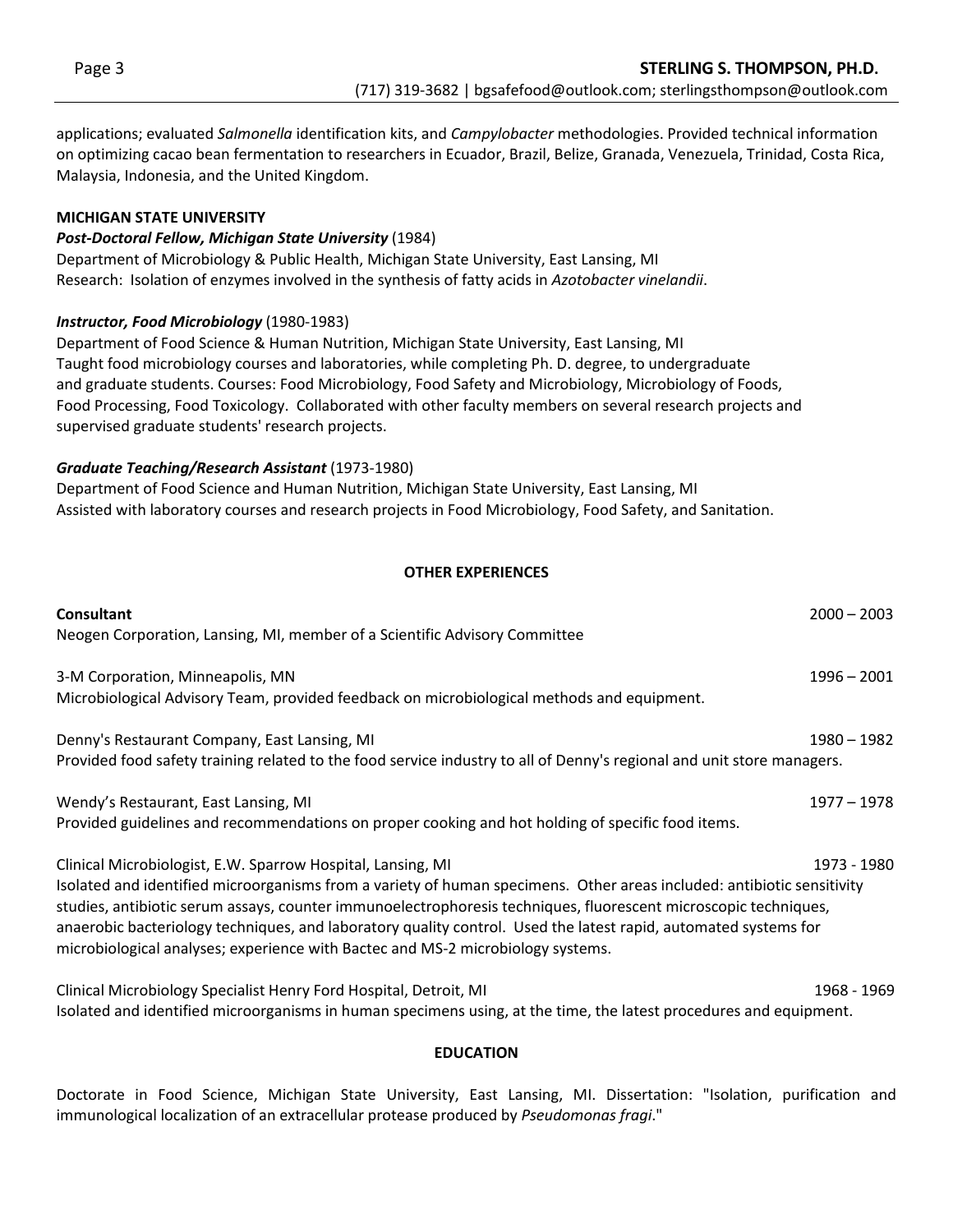applications; evaluated *Salmonella* identification kits, and *Campylobacter* methodologies. Provided technical information on optimizing cacao bean fermentation to researchers in Ecuador, Brazil, Belize, Granada, Venezuela, Trinidad, Costa Rica, Malaysia, Indonesia, and the United Kingdom.

#### **MICHIGAN STATE UNIVERSITY**

#### *Post-Doctoral Fellow, Michigan State University* (1984)

Department of Microbiology & Public Health, Michigan State University, East Lansing, MI Research: Isolation of enzymes involved in the synthesis of fatty acids in *Azotobacter vinelandii*.

#### **Instructor, Food Microbiology** (1980-1983)

Department of Food Science & Human Nutrition, Michigan State University, East Lansing, MI Taught food microbiology courses and laboratories, while completing Ph. D. degree, to undergraduate and graduate students. Courses: Food Microbiology, Food Safety and Microbiology, Microbiology of Foods, Food Processing, Food Toxicology. Collaborated with other faculty members on several research projects and supervised graduate students' research projects.

#### *Graduate Teaching/Research Assistant* (1973-1980)

Department of Food Science and Human Nutrition, Michigan State University, East Lansing, MI Assisted with laboratory courses and research projects in Food Microbiology, Food Safety, and Sanitation.

#### **OTHER EXPERIENCES**

| <b>Consultant</b>                                                                                                                                                                                                                                                                                                                                                                                                                               | $2000 - 2003$ |
|-------------------------------------------------------------------------------------------------------------------------------------------------------------------------------------------------------------------------------------------------------------------------------------------------------------------------------------------------------------------------------------------------------------------------------------------------|---------------|
| Neogen Corporation, Lansing, MI, member of a Scientific Advisory Committee                                                                                                                                                                                                                                                                                                                                                                      |               |
| 3-M Corporation, Minneapolis, MN                                                                                                                                                                                                                                                                                                                                                                                                                | $1996 - 2001$ |
| Microbiological Advisory Team, provided feedback on microbiological methods and equipment.                                                                                                                                                                                                                                                                                                                                                      |               |
| Denny's Restaurant Company, East Lansing, MI                                                                                                                                                                                                                                                                                                                                                                                                    | 1980 - 1982   |
| Provided food safety training related to the food service industry to all of Denny's regional and unit store managers.                                                                                                                                                                                                                                                                                                                          |               |
| Wendy's Restaurant, East Lansing, MI                                                                                                                                                                                                                                                                                                                                                                                                            | 1977 – 1978   |
| Provided guidelines and recommendations on proper cooking and hot holding of specific food items.                                                                                                                                                                                                                                                                                                                                               |               |
| Clinical Microbiologist, E.W. Sparrow Hospital, Lansing, MI                                                                                                                                                                                                                                                                                                                                                                                     | 1973 - 1980   |
| Isolated and identified microorganisms from a variety of human specimens. Other areas included: antibiotic sensitivity<br>studies, antibiotic serum assays, counter immunoelectrophoresis techniques, fluorescent microscopic techniques,<br>anaerobic bacteriology techniques, and laboratory quality control. Used the latest rapid, automated systems for<br>microbiological analyses; experience with Bactec and MS-2 microbiology systems. |               |
| Clinical Microbiology Specialist Henry Ford Hospital, Detroit, MI                                                                                                                                                                                                                                                                                                                                                                               | 1968 - 1969   |
| Isolated and identified microorganisms in human specimens using, at the time, the latest procedures and equipment.                                                                                                                                                                                                                                                                                                                              |               |

#### **EDUCATION**

Doctorate in Food Science, Michigan State University, East Lansing, MI. Dissertation: "Isolation, purification and immunological localization of an extracellular protease produced by *Pseudomonas fragi*."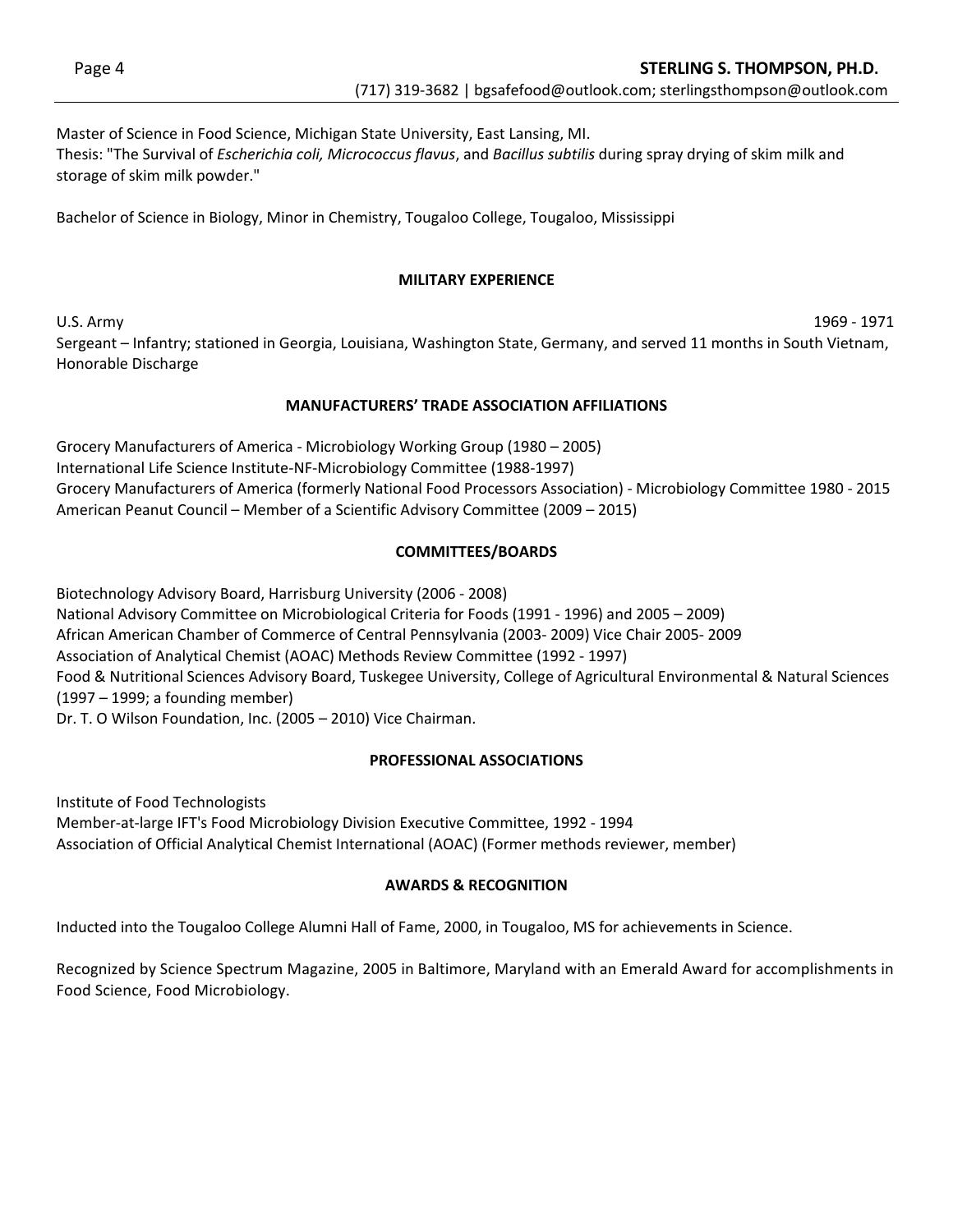Master of Science in Food Science, Michigan State University, East Lansing, MI. Thesis: "The Survival of *Escherichia coli, Micrococcus flavus*, and *Bacillus subtilis* during spray drying of skim milk and storage of skim milk powder."

Bachelor of Science in Biology, Minor in Chemistry, Tougaloo College, Tougaloo, Mississippi

### **MILITARY EXPERIENCE**

U.S. Army 1969 - 1971

Sergeant – Infantry; stationed in Georgia, Louisiana, Washington State, Germany, and served 11 months in South Vietnam, Honorable Discharge

# **MANUFACTURERS' TRADE ASSOCIATION AFFILIATIONS**

Grocery Manufacturers of America - Microbiology Working Group (1980 – 2005) International Life Science Institute-NF-Microbiology Committee (1988-1997) Grocery Manufacturers of America (formerly National Food Processors Association) - Microbiology Committee 1980 - 2015 American Peanut Council – Member of a Scientific Advisory Committee (2009 – 2015)

# **COMMITTEES/BOARDS**

Biotechnology Advisory Board, Harrisburg University (2006 - 2008) National Advisory Committee on Microbiological Criteria for Foods (1991 - 1996) and 2005 - 2009) African American Chamber of Commerce of Central Pennsylvania (2003- 2009) Vice Chair 2005- 2009 Association of Analytical Chemist (AOAC) Methods Review Committee (1992 - 1997) Food & Nutritional Sciences Advisory Board, Tuskegee University, College of Agricultural Environmental & Natural Sciences  $(1997 - 1999; a founding member)$ Dr. T. O Wilson Foundation, Inc. (2005 – 2010) Vice Chairman.

# **PROFESSIONAL ASSOCIATIONS**

Institute of Food Technologists Member-at-large IFT's Food Microbiology Division Executive Committee, 1992 - 1994 Association of Official Analytical Chemist International (AOAC) (Former methods reviewer, member)

# **AWARDS & RECOGNITION**

Inducted into the Tougaloo College Alumni Hall of Fame, 2000, in Tougaloo, MS for achievements in Science.

Recognized by Science Spectrum Magazine, 2005 in Baltimore, Maryland with an Emerald Award for accomplishments in Food Science, Food Microbiology.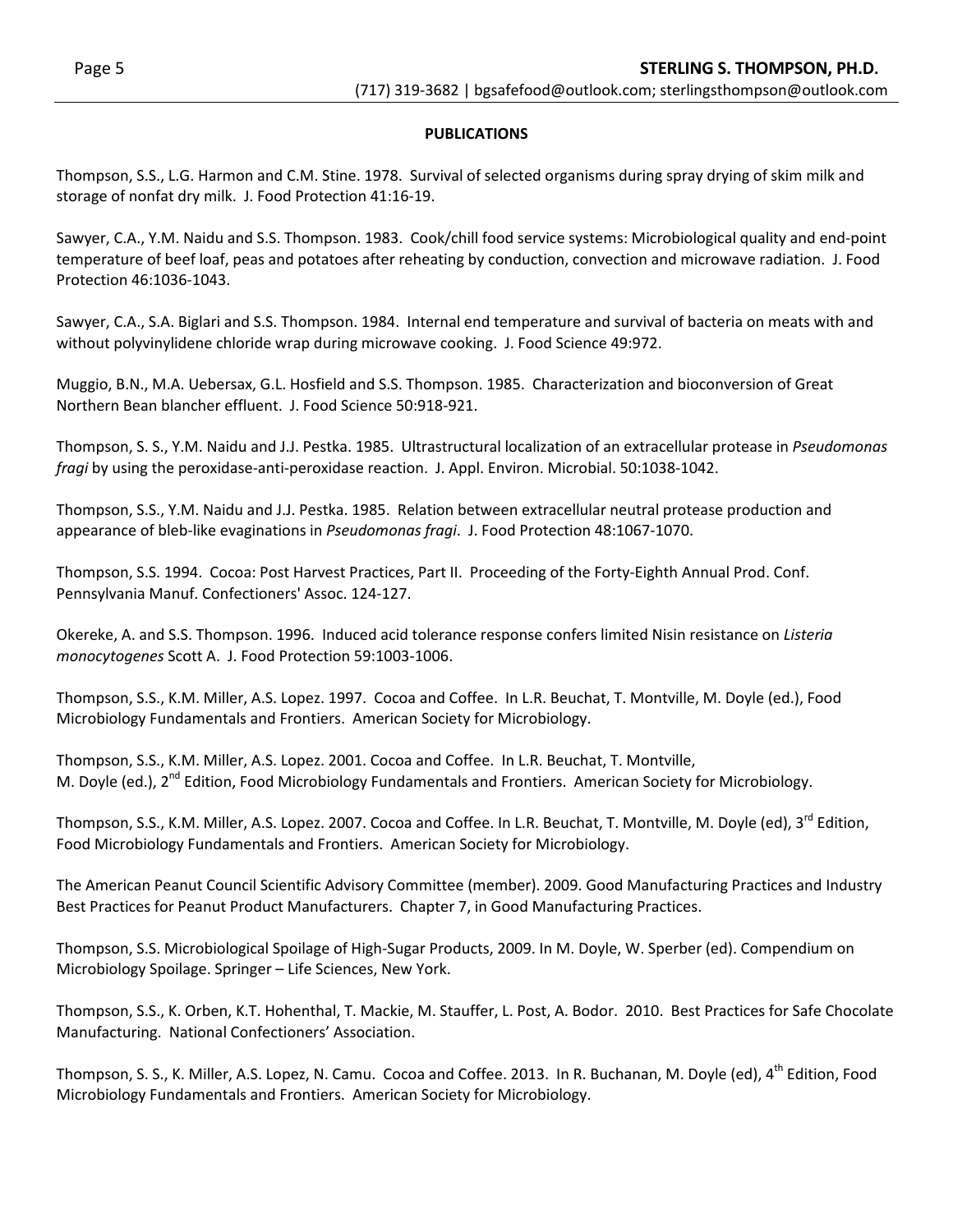### **PUBLICATIONS**

Thompson, S.S., L.G. Harmon and C.M. Stine. 1978. Survival of selected organisms during spray drying of skim milk and storage of nonfat dry milk. J. Food Protection 41:16-19.

Sawyer, C.A., Y.M. Naidu and S.S. Thompson. 1983. Cook/chill food service systems: Microbiological quality and end-point temperature of beef loaf, peas and potatoes after reheating by conduction, convection and microwave radiation. J. Food Protection 46:1036-1043.

Sawyer, C.A., S.A. Biglari and S.S. Thompson. 1984. Internal end temperature and survival of bacteria on meats with and without polyvinylidene chloride wrap during microwave cooking. J. Food Science 49:972.

Muggio, B.N., M.A. Uebersax, G.L. Hosfield and S.S. Thompson. 1985. Characterization and bioconversion of Great Northern Bean blancher effluent. J. Food Science 50:918-921.

Thompson, S. S., Y.M. Naidu and J.J. Pestka. 1985. Ultrastructural localization of an extracellular protease in *Pseudomonas fragi* by using the peroxidase-anti-peroxidase reaction. J. Appl. Environ. Microbial. 50:1038-1042.

Thompson, S.S., Y.M. Naidu and J.J. Pestka. 1985. Relation between extracellular neutral protease production and appearance of bleb-like evaginations in *Pseudomonas fragi*. J. Food Protection 48:1067-1070.

Thompson, S.S. 1994. Cocoa: Post Harvest Practices, Part II. Proceeding of the Forty-Eighth Annual Prod. Conf. Pennsylvania Manuf. Confectioners' Assoc. 124-127.

Okereke, A. and S.S. Thompson. 1996. Induced acid tolerance response confers limited Nisin resistance on *Listeria monocytogenes* Scott A. J. Food Protection 59:1003-1006.

Thompson, S.S., K.M. Miller, A.S. Lopez. 1997. Cocoa and Coffee. In L.R. Beuchat, T. Montville, M. Doyle (ed.), Food Microbiology Fundamentals and Frontiers. American Society for Microbiology.

Thompson, S.S., K.M. Miller, A.S. Lopez. 2001. Cocoa and Coffee. In L.R. Beuchat, T. Montville, M. Doyle (ed.), 2<sup>nd</sup> Edition, Food Microbiology Fundamentals and Frontiers. American Society for Microbiology.

Thompson, S.S., K.M. Miller, A.S. Lopez. 2007. Cocoa and Coffee. In L.R. Beuchat, T. Montville, M. Doyle (ed),  $3^{rd}$  Edition, Food Microbiology Fundamentals and Frontiers. American Society for Microbiology.

The American Peanut Council Scientific Advisory Committee (member). 2009. Good Manufacturing Practices and Industry Best Practices for Peanut Product Manufacturers. Chapter 7, in Good Manufacturing Practices.

Thompson, S.S. Microbiological Spoilage of High-Sugar Products, 2009. In M. Doyle, W. Sperber (ed). Compendium on Microbiology Spoilage. Springer - Life Sciences, New York.

Thompson, S.S., K. Orben, K.T. Hohenthal, T. Mackie, M. Stauffer, L. Post, A. Bodor. 2010. Best Practices for Safe Chocolate Manufacturing. National Confectioners' Association.

Thompson, S. S., K. Miller, A.S. Lopez, N. Camu. Cocoa and Coffee. 2013. In R. Buchanan, M. Doyle (ed), 4<sup>th</sup> Edition. Food Microbiology Fundamentals and Frontiers. American Society for Microbiology.